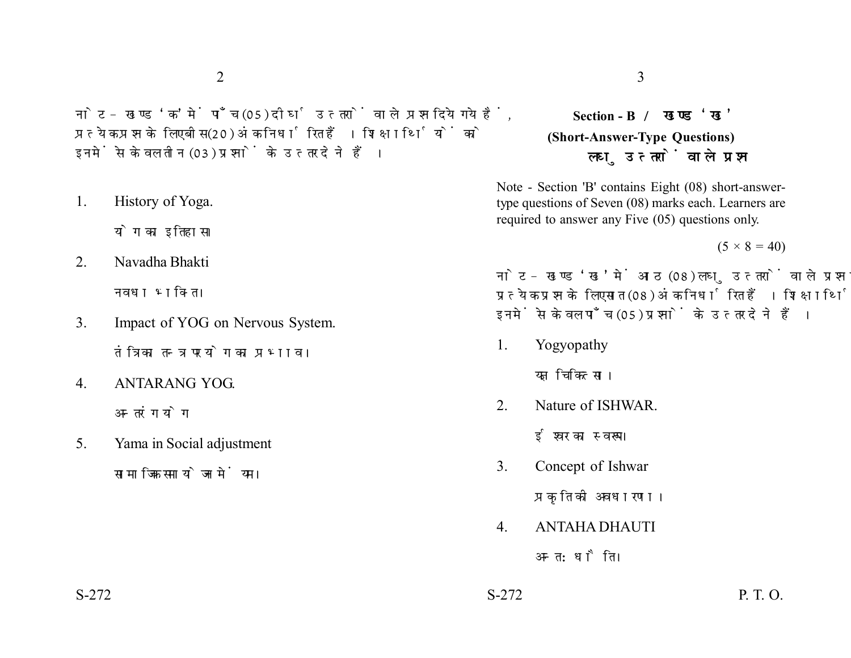नोट- खण्ड 'क' में पाँच (05) दीर्घ उत्तरों वाले प्रश्न दिये गये हैं. प्रत्येक प्रश्न के लिए बीस (20) अंक निर्धारित हैं। शिक्षार्थियों को इनमें से केवल तीन (03) प्रश्नों के उत्तर देने हैं।

1. History of Yoga.

योग का इतिहास।

2. Navadha Bhakti

नवधा भक्ति ।

- 3. Impact of YOG on Nervous System. तंत्रिका तन्त्र पर योग का प्रभाव।
- 4. ANTARANG YOG. अन्तरंग योग
- 5. Yama in Social adjustment सामाजिक समायोजन में यम।

## **Section - B (Short-Answer-Type Questions)** लघ उत्तरों वाले प्रश्न

Note - Section 'B' contains Eight (08) short-answertype questions of Seven (08) marks each. Learners are required to answer any Five (05) questions only.

 $(5 \times 8 = 40)$ 

नोट- खण्ड 'ख' में आठ (08) लघु उत्तरों वाले प्रश्न दिये गये हैं, प्रत्येक प्रश्न के लिए सात (08) अंक निर्धारित हैं। शिक्षार्थियों को इनमें से केवल पाँच (05) प्रश्नों के उत्तर देने हैं।

1. Yogyopathy

यज्ञ चिकित्सा।

2. Nature of ISHWAR.

ईश्वर का स्वरूप।

3. Concept of Ishwar

प्रकृति की अवधारणा।

4. ANTAHA DHAUTI

अन्त:धौति।